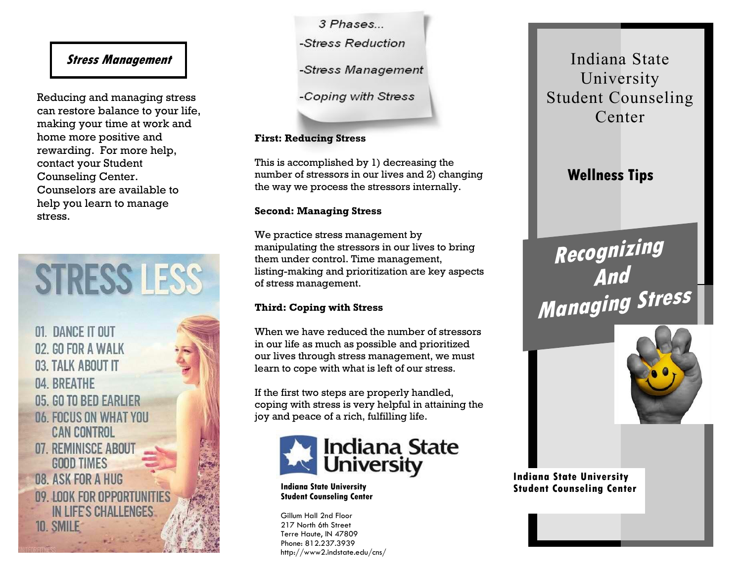# **Stress Management**

Reducing and managing stress can restore balance to your life, making your time at work and home more positive and rewarding. For more help, contact your Student Counseling Center. Counselors are available to help you learn to manage stress.

**STRESS LESS** 

01. DANCE IT OUT 02. GO FOR A WALK 03. TALK ABOUT IT 04. BREATHE 05. GO TO BED EARLIER **06. FOCUS ON WHAT YOU CAN CONTROL** 07. REMINISCE ABOUT **GOOD TIMES 08. ASK FOR A HUG** 09. LOOK FOR OPPORTUNITIES **IN LIFE'S CHALLENGES 10. SMILE** 

3 Phases -Stress Reduction -Stress Management

-Coping with Stress

#### **First: Reducing Stress**

This is accomplished by 1) decreasing the number of stressors in our lives and 2) changing the way we process the stressors internally.

#### **Second: Managing Stress**

We practice stress management by manipulating the stressors in our lives to bring them under control. Time management, listing-making and prioritization are key aspects of stress management.

## **Third: Coping with Stress**

When we have reduced the number of stressors in our life as much as possible and prioritized our lives through stress management, we must learn to cope with what is left of our stress.

If the first two steps are properly handled, coping with stress is very helpful in attaining the joy and peace of a rich, fulfilling life.



**Indiana State University Student Counseling Center**

Gillum Hall 2nd Floor 217 North 6th Street Terre Haute, IN 47809 Phone: 812.237.3939 http://www2.indstate.edu/cns/

Indiana State University Student Counseling Center

**Wellness Tips**

**Recognizing And Managing Stress**



**Indiana State University Student Counseling Center**